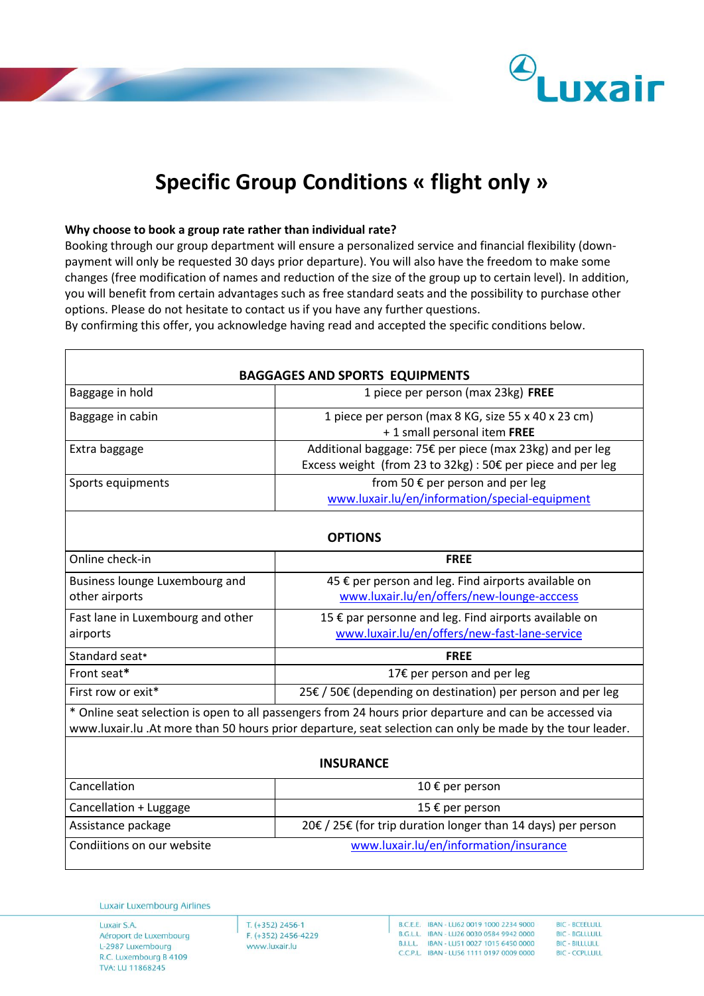

## **Specific Group Conditions « flight only »**

## **Why choose to book a group rate rather than individual rate?**

Booking through our group department will ensure a personalized service and financial flexibility (downpayment will only be requested 30 days prior departure). You will also have the freedom to make some changes (free modification of names and reduction of the size of the group up to certain level). In addition, you will benefit from certain advantages such as free standard seats and the possibility to purchase other options. Please do not hesitate to contact us if you have any further questions. By confirming this offer, you acknowledge having read and accepted the specific conditions below.

| <b>BAGGAGES AND SPORTS EQUIPMENTS</b>                                                                                                                                                                                |                                                                                                                         |  |  |
|----------------------------------------------------------------------------------------------------------------------------------------------------------------------------------------------------------------------|-------------------------------------------------------------------------------------------------------------------------|--|--|
| Baggage in hold                                                                                                                                                                                                      | 1 piece per person (max 23kg) FREE                                                                                      |  |  |
| Baggage in cabin                                                                                                                                                                                                     | 1 piece per person (max 8 KG, size 55 x 40 x 23 cm)<br>+ 1 small personal item FREE                                     |  |  |
| Extra baggage                                                                                                                                                                                                        | Additional baggage: 75€ per piece (max 23kg) and per leg<br>Excess weight (from 23 to 32kg) : 50€ per piece and per leg |  |  |
| Sports equipments                                                                                                                                                                                                    | from 50 € per person and per leg<br>www.luxair.lu/en/information/special-equipment                                      |  |  |
| <b>OPTIONS</b>                                                                                                                                                                                                       |                                                                                                                         |  |  |
| Online check-in                                                                                                                                                                                                      | <b>FREE</b>                                                                                                             |  |  |
| Business lounge Luxembourg and<br>other airports                                                                                                                                                                     | 45 € per person and leg. Find airports available on<br>www.luxair.lu/en/offers/new-lounge-acccess                       |  |  |
| Fast lane in Luxembourg and other<br>airports                                                                                                                                                                        | 15 € par personne and leg. Find airports available on<br>www.luxair.lu/en/offers/new-fast-lane-service                  |  |  |
| Standard seat*                                                                                                                                                                                                       | <b>FREE</b>                                                                                                             |  |  |
| Front seat*                                                                                                                                                                                                          | 17€ per person and per leg                                                                                              |  |  |
| First row or exit*                                                                                                                                                                                                   | 25€ / 50€ (depending on destination) per person and per leg                                                             |  |  |
| * Online seat selection is open to all passengers from 24 hours prior departure and can be accessed via<br>www.luxair.lu .At more than 50 hours prior departure, seat selection can only be made by the tour leader. |                                                                                                                         |  |  |
| <b>INSURANCE</b>                                                                                                                                                                                                     |                                                                                                                         |  |  |
| Cancellation                                                                                                                                                                                                         | 10 € per person                                                                                                         |  |  |
| Cancellation + Luggage                                                                                                                                                                                               | 15 € per person                                                                                                         |  |  |
| Assistance package                                                                                                                                                                                                   | 20€ / 25€ (for trip duration longer than 14 days) per person                                                            |  |  |
| Condiitions on our website                                                                                                                                                                                           | www.luxair.lu/en/information/insurance                                                                                  |  |  |

Luxair Luxembourg Airlines

Luxair S.A. Aéroport de Luxembourg L-2987 Luxembourg R.C. Luxembourg B 4109 TVA: LU 11868245

 $T. (+352)$  2456-1 F. (+352) 2456-4229 www.luxair.lu